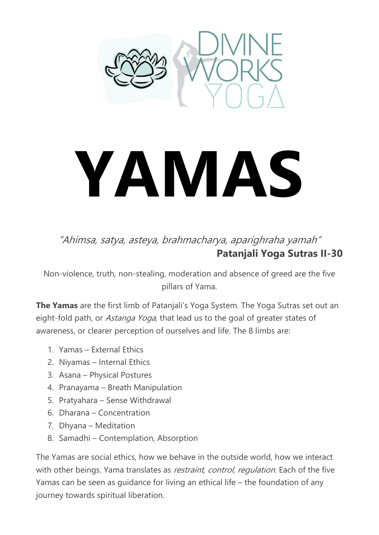

# **YAMAS**

### "Ahimsa, satya, asteya, brahmacharya, aparighraha yamah" **Patanjali Yoga Sutras II-30**

Non-violence, truth, non-stealing, moderation and absence of greed are the five pillars of Yama.

**The Yamas** are the first limb of Patanjali's Yoga System. The Yoga Sutras set out an eight-fold path, or *Astanga Yoga*, that lead us to the goal of greater states of awareness, or clearer perception of ourselves and life. The 8 limbs are:

- 1. Yamas External Ethics
- 2. Niyamas Internal Ethics
- 3. Asana Physical Postures
- 4. Pranayama Breath Manipulation
- 5. Pratyahara Sense Withdrawal
- 6. Dharana Concentration
- 7. Dhyana Meditation
- 8. Samadhi Contemplation, Absorption

The Yamas are social ethics, how we behave in the outside world, how we interact with other beings. Yama translates as *restraint, control, regulation*. Each of the five Yamas can be seen as guidance for living an ethical life – the foundation of any journey towards spiritual liberation.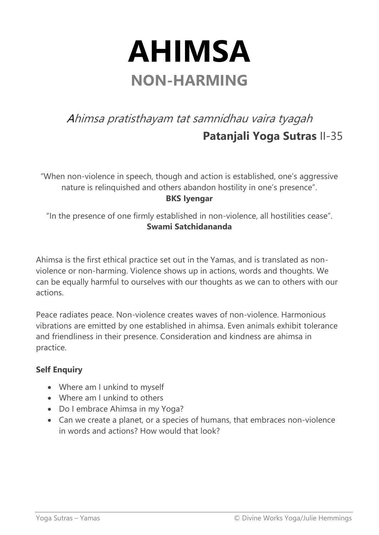### **AHIMSA NON-HARMING**

### Ahimsa pratisthayam tat samnidhau vaira tyagah **Patanjali Yoga Sutras** II-35

"When non-violence in speech, though and action is established, one's aggressive nature is relinquished and others abandon hostility in one's presence". **BKS Iyengar**

"In the presence of one firmly established in non-violence, all hostilities cease". **Swami Satchidananda**

Ahimsa is the first ethical practice set out in the Yamas, and is translated as nonviolence or non-harming. Violence shows up in actions, words and thoughts. We can be equally harmful to ourselves with our thoughts as we can to others with our actions.

Peace radiates peace. Non-violence creates waves of non-violence. Harmonious vibrations are emitted by one established in ahimsa. Even animals exhibit tolerance and friendliness in their presence. Consideration and kindness are ahimsa in practice.

- Where am I unkind to myself
- Where am Lunkind to others
- Do I embrace Ahimsa in my Yoga?
- Can we create a planet, or a species of humans, that embraces non-violence in words and actions? How would that look?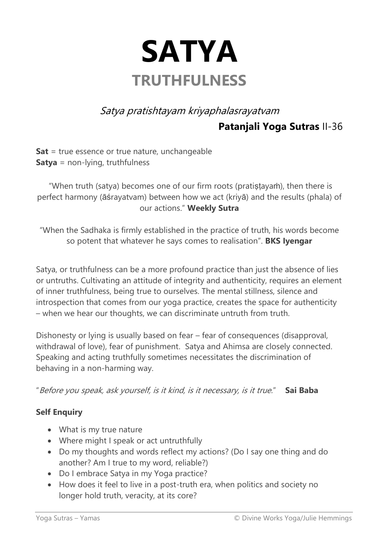

Satya pratishtayam kriyaphalasrayatvam

**Patanjali Yoga Sutras** II-36

**Sat** = true essence or true nature, unchangeable **Satya** = non-lying, truthfulness

"When truth (satya) becomes one of our firm roots (pratiṣṭayaṁ), then there is perfect harmony (āśrayatvam) between how we act (kriyā) and the results (phala) of our actions." **Weekly Sutra**

"When the Sadhaka is firmly established in the practice of truth, his words become so potent that whatever he says comes to realisation". **BKS Iyengar**

Satya, or truthfulness can be a more profound practice than just the absence of lies or untruths. Cultivating an attitude of integrity and authenticity, requires an element of inner truthfulness, being true to ourselves. The mental stillness, silence and introspection that comes from our yoga practice, creates the space for authenticity – when we hear our thoughts, we can discriminate untruth from truth.

Dishonesty or lying is usually based on fear – fear of consequences (disapproval, withdrawal of love), fear of punishment. Satya and Ahimsa are closely connected. Speaking and acting truthfully sometimes necessitates the discrimination of behaving in a non-harming way.

"Before you speak, ask yourself, is it kind, is it necessary, is it true." **Sai Baba**

- What is my true nature
- Where might I speak or act untruthfully
- Do my thoughts and words reflect my actions? (Do I say one thing and do another? Am I true to my word, reliable?)
- Do I embrace Satya in my Yoga practice?
- How does it feel to live in a post-truth era, when politics and society no longer hold truth, veracity, at its core?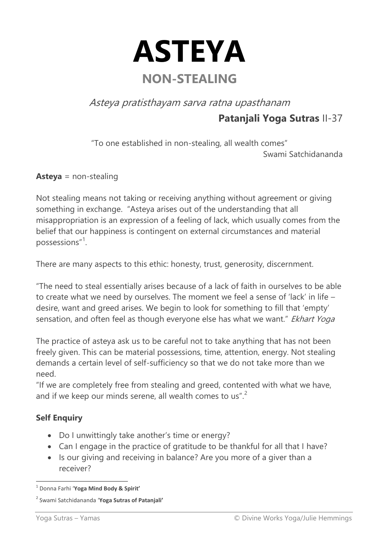

Asteya pratisthayam sarva ratna upasthanam

**Patanjali Yoga Sutras** II-37

"To one established in non-stealing, all wealth comes" Swami Satchidananda

**Asteya** = non-stealing

Not stealing means not taking or receiving anything without agreement or giving something in exchange. "Asteya arises out of the understanding that all misappropriation is an expression of a feeling of lack, which usually comes from the belief that our happiness is contingent on external circumstances and material possessions"<sup>1</sup> .

There are many aspects to this ethic: honesty, trust, generosity, discernment.

"The need to steal essentially arises because of a lack of faith in ourselves to be able to create what we need by ourselves. The moment we feel a sense of 'lack' in life – desire, want and greed arises. We begin to look for something to fill that 'empty' sensation, and often feel as though everyone else has what we want." Ekhart Yoga

The practice of asteya ask us to be careful not to take anything that has not been freely given. This can be material possessions, time, attention, energy. Not stealing demands a certain level of self-sufficiency so that we do not take more than we need.

"If we are completely free from stealing and greed, contented with what we have, and if we keep our minds serene, all wealth comes to us".<sup>2</sup>

- Do I unwittingly take another's time or energy?
- Can I engage in the practice of gratitude to be thankful for all that I have?
- Is our giving and receiving in balance? Are you more of a giver than a receiver?

 1 Donna Farhi '**Yoga Mind Body & Spirit'**

<sup>2</sup> Swami Satchidananda '**Yoga Sutras of Patanjali'**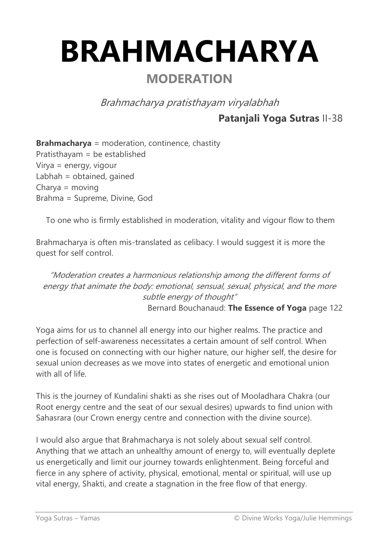## **BRAHMACHARYA**

### **MODERATION**

Brahmacharya pratisthayam viryalabhah

### **Patanjali Yoga Sutras** II-38

**Brahmacharya** = moderation, continence, chastity Pratisthayam = be established Virya = energy, vigour Labhah = obtained, gained Charya = moving Brahma = Supreme, Divine, God

To one who is firmly established in moderation, vitality and vigour flow to them

Brahmacharya is often mis-translated as celibacy. I would suggest it is more the quest for self control.

"Moderation creates a harmonious relationship among the different forms of energy that animate the body: emotional, sensual, sexual, physical, and the more subtle energy of thought" Bernard Bouchanaud: **The Essence of Yoga** page 122

Yoga aims for us to channel all energy into our higher realms. The practice and perfection of self-awareness necessitates a certain amount of self control. When one is focused on connecting with our higher nature, our higher self, the desire for sexual union decreases as we move into states of energetic and emotional union with all of life.

This is the journey of Kundalini shakti as she rises out of Mooladhara Chakra (our Root energy centre and the seat of our sexual desires) upwards to find union with Sahasrara (our Crown energy centre and connection with the divine source).

I would also argue that Brahmacharya is not solely about sexual self control. Anything that we attach an unhealthy amount of energy to, will eventually deplete us energetically and limit our journey towards enlightenment. Being forceful and fierce in any sphere of activity, physical, emotional, mental or spiritual, will use up vital energy, Shakti, and create a stagnation in the free flow of that energy.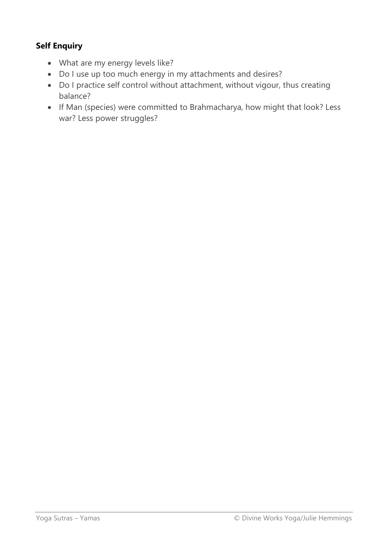- What are my energy levels like?
- Do I use up too much energy in my attachments and desires?
- Do I practice self control without attachment, without vigour, thus creating balance?
- If Man (species) were committed to Brahmacharya, how might that look? Less war? Less power struggles?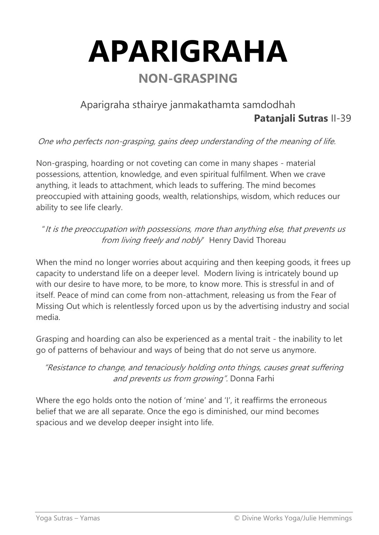**APARIGRAHA NON-GRASPING**

### Aparigraha sthairye janmakathamta samdodhah **Patanjali Sutras** II-39

One who perfects non-grasping, gains deep understanding of the meaning of life.

Non-grasping, hoarding or not coveting can come in many shapes - material possessions, attention, knowledge, and even spiritual fulfilment. When we crave anything, it leads to attachment, which leads to suffering. The mind becomes preoccupied with attaining goods, wealth, relationships, wisdom, which reduces our ability to see life clearly.

"It is the preoccupation with possessions, more than anything else, that prevents us from living freely and nobly" Henry David Thoreau

When the mind no longer worries about acquiring and then keeping goods, it frees up capacity to understand life on a deeper level. Modern living is intricately bound up with our desire to have more, to be more, to know more. This is stressful in and of itself. Peace of mind can come from non-attachment, releasing us from the Fear of Missing Out which is relentlessly forced upon us by the advertising industry and social media.

Grasping and hoarding can also be experienced as a mental trait - the inability to let go of patterns of behaviour and ways of being that do not serve us anymore.

"Resistance to change, and tenaciously holding onto things, causes great suffering and prevents us from growing". Donna Farhi

Where the ego holds onto the notion of 'mine' and 'I', it reaffirms the erroneous belief that we are all separate. Once the ego is diminished, our mind becomes spacious and we develop deeper insight into life.